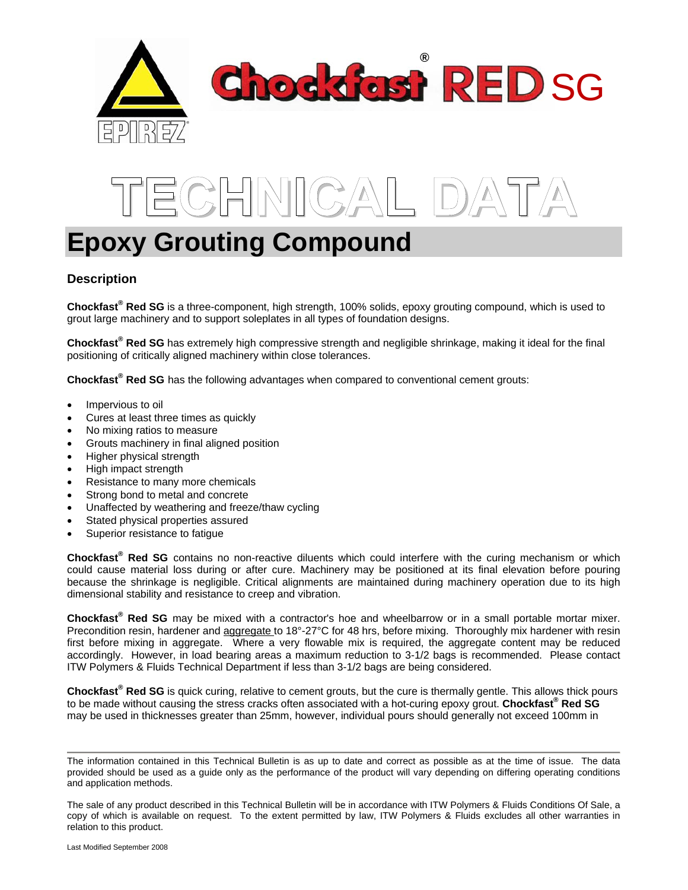



# **Epoxy Grouting Compound**

# **Description**

**Chockfast® Red SG** is a three-component, high strength, 100% solids, epoxy grouting compound, which is used to grout large machinery and to support soleplates in all types of foundation designs.

**Chockfast® Red SG** has extremely high compressive strength and negligible shrinkage, making it ideal for the final positioning of critically aligned machinery within close tolerances.

**Chockfast® Red SG** has the following advantages when compared to conventional cement grouts:

- Impervious to oil
- Cures at least three times as quickly
- No mixing ratios to measure
- Grouts machinery in final aligned position
- Higher physical strength
- High impact strength
- Resistance to many more chemicals
- Strong bond to metal and concrete
- Unaffected by weathering and freeze/thaw cycling
- Stated physical properties assured
- Superior resistance to fatique

**Chockfast® Red SG** contains no non-reactive diluents which could interfere with the curing mechanism or which could cause material loss during or after cure. Machinery may be positioned at its final elevation before pouring because the shrinkage is negligible. Critical alignments are maintained during machinery operation due to its high dimensional stability and resistance to creep and vibration.

**Chockfast® Red SG** may be mixed with a contractor's hoe and wheelbarrow or in a small portable mortar mixer. Precondition resin, hardener and aggregate to 18°-27°C for 48 hrs, before mixing. Thoroughly mix hardener with resin first before mixing in aggregate. Where a very flowable mix is required, the aggregate content may be reduced accordingly. However, in load bearing areas a maximum reduction to 3-1/2 bags is recommended. Please contact ITW Polymers & Fluids Technical Department if less than 3-1/2 bags are being considered.

Chockfast<sup>®</sup> Red SG is quick curing, relative to cement grouts, but the cure is thermally gentle. This allows thick pours to be made without causing the stress cracks often associated with a hot-curing epoxy grout. **Chockfast® Red SG** may be used in thicknesses greater than 25mm, however, individual pours should generally not exceed 100mm in

The information contained in this Technical Bulletin is as up to date and correct as possible as at the time of issue. The data provided should be used as a guide only as the performance of the product will vary depending on differing operating conditions and application methods.

The sale of any product described in this Technical Bulletin will be in accordance with ITW Polymers & Fluids Conditions Of Sale, a copy of which is available on request. To the extent permitted by law, ITW Polymers & Fluids excludes all other warranties in relation to this product.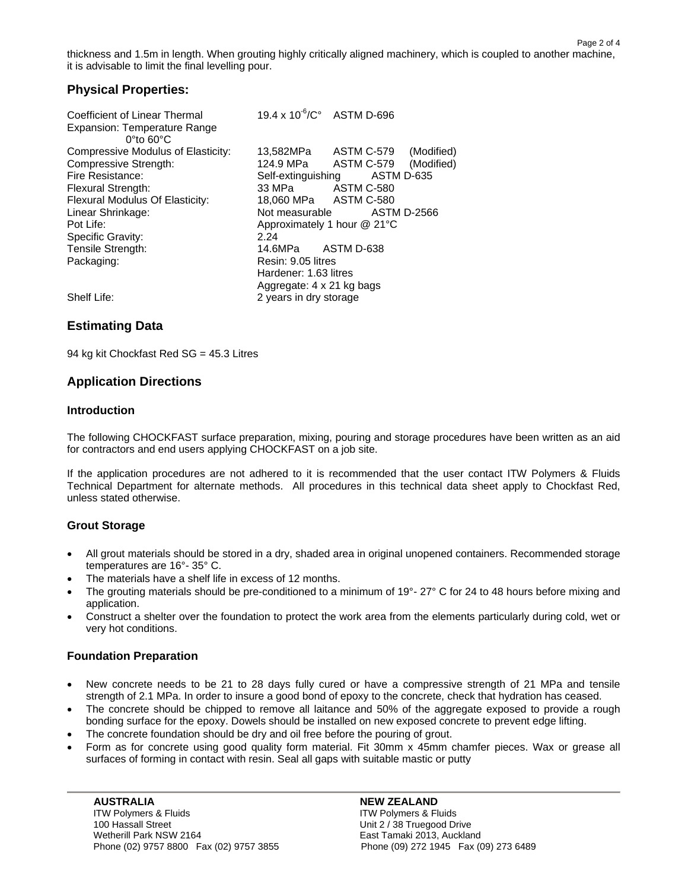thickness and 1.5m in length. When grouting highly critically aligned machinery, which is coupled to another machine, it is advisable to limit the final levelling pour.

Page 2 of 4

# **Physical Properties:**

| Coefficient of Linear Thermal                                  | 19.4 x 10 <sup>-6</sup> /C° ASTM D-696 |
|----------------------------------------------------------------|----------------------------------------|
| Expansion: Temperature Range<br>$0^{\circ}$ to 60 $^{\circ}$ C |                                        |
| Compressive Modulus of Elasticity:                             | ASTM C-579<br>(Modified)<br>13,582MPa  |
| Compressive Strength:                                          | 124.9 MPa<br>ASTM C-579<br>(Modified)  |
| Fire Resistance:                                               | ASTM D-635<br>Self-extinguishing       |
| <b>Flexural Strength:</b>                                      | 33 MPa ASTM C-580                      |
| Flexural Modulus Of Elasticity:                                | 18,060 MPa ASTM C-580                  |
| Linear Shrinkage:                                              | Not measurable<br><b>ASTM D-2566</b>   |
| Pot Life:                                                      | Approximately 1 hour $@$ 21 $°C$       |
| Specific Gravity:                                              | 2.24                                   |
| Tensile Strength:                                              | 14.6MPa ASTM D-638                     |
| Packaging:                                                     | Resin: 9.05 litres                     |
|                                                                | Hardener: 1.63 litres                  |
|                                                                | Aggregate: 4 x 21 kg bags              |
| Shelf Life:                                                    | 2 years in dry storage                 |

# **Estimating Data**

94 kg kit Chockfast Red SG = 45.3 Litres

# **Application Directions**

#### **Introduction**

The following CHOCKFAST surface preparation, mixing, pouring and storage procedures have been written as an aid for contractors and end users applying CHOCKFAST on a job site.

If the application procedures are not adhered to it is recommended that the user contact ITW Polymers & Fluids Technical Department for alternate methods. All procedures in this technical data sheet apply to Chockfast Red, unless stated otherwise.

### **Grout Storage**

- All grout materials should be stored in a dry, shaded area in original unopened containers. Recommended storage temperatures are 16°- 35° C.
- The materials have a shelf life in excess of 12 months.
- The grouting materials should be pre-conditioned to a minimum of 19°- 27° C for 24 to 48 hours before mixing and application.
- Construct a shelter over the foundation to protect the work area from the elements particularly during cold, wet or very hot conditions.

# **Foundation Preparation**

- New concrete needs to be 21 to 28 days fully cured or have a compressive strength of 21 MPa and tensile strength of 2.1 MPa. In order to insure a good bond of epoxy to the concrete, check that hydration has ceased.
- The concrete should be chipped to remove all laitance and 50% of the aggregate exposed to provide a rough bonding surface for the epoxy. Dowels should be installed on new exposed concrete to prevent edge lifting.
- The concrete foundation should be dry and oil free before the pouring of grout.
- Form as for concrete using good quality form material. Fit 30mm x 45mm chamfer pieces. Wax or grease all surfaces of forming in contact with resin. Seal all gaps with suitable mastic or putty

AUSTRALIA **NEW ZEALAND** ITW Polymers & Fluids **ITW Polymers & Fluids**  100 Hassall Street Unit 2 / 38 Truegood Drive Wetherill Park NSW 2164<br>
Phone (02) 9757 8800 Fax (02) 9757 3855 Phone (09) 272 1945 Fax (09) 273 6489 Phone (02) 9757 8800 Fax (02) 9757 3855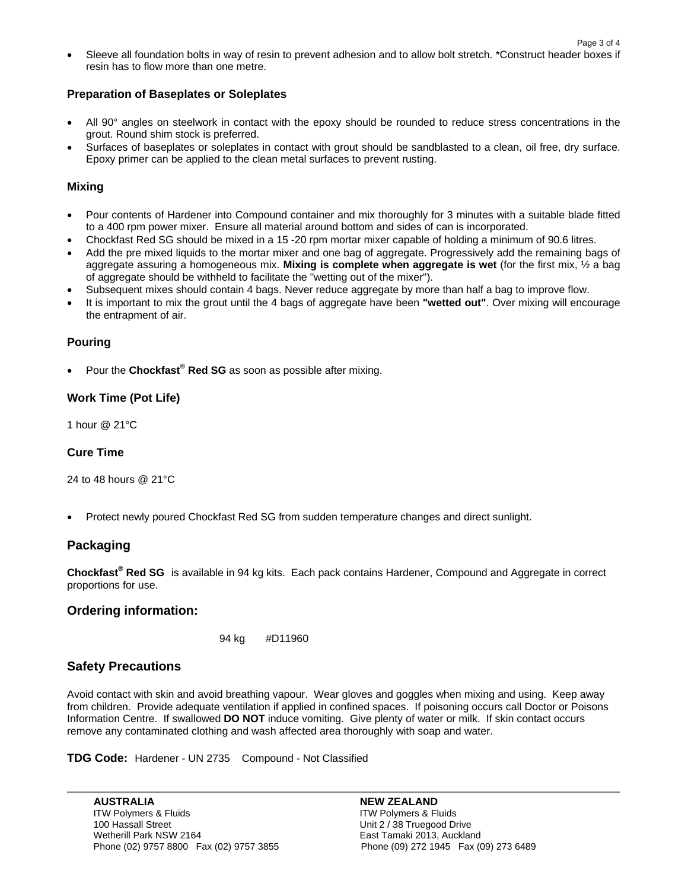• Sleeve all foundation bolts in way of resin to prevent adhesion and to allow bolt stretch. \*Construct header boxes if resin has to flow more than one metre.

#### **Preparation of Baseplates or Soleplates**

- All 90° angles on steelwork in contact with the epoxy should be rounded to reduce stress concentrations in the grout. Round shim stock is preferred.
- Surfaces of baseplates or soleplates in contact with grout should be sandblasted to a clean, oil free, dry surface. Epoxy primer can be applied to the clean metal surfaces to prevent rusting.

#### **Mixing**

- Pour contents of Hardener into Compound container and mix thoroughly for 3 minutes with a suitable blade fitted to a 400 rpm power mixer. Ensure all material around bottom and sides of can is incorporated.
- Chockfast Red SG should be mixed in a 15 -20 rpm mortar mixer capable of holding a minimum of 90.6 litres.
- Add the pre mixed liquids to the mortar mixer and one bag of aggregate. Progressively add the remaining bags of aggregate assuring a homogeneous mix. **Mixing is complete when aggregate is wet** (for the first mix, ½ a bag of aggregate should be withheld to facilitate the "wetting out of the mixer").
- Subsequent mixes should contain 4 bags. Never reduce aggregate by more than half a bag to improve flow.
- It is important to mix the grout until the 4 bags of aggregate have been **"wetted out"**. Over mixing will encourage the entrapment of air.

#### **Pouring**

**•** Pour the Chockfast<sup>®</sup> Red SG as soon as possible after mixing.

### **Work Time (Pot Life)**

1 hour @ 21°C

### **Cure Time**

24 to 48 hours @ 21°C

• Protect newly poured Chockfast Red SG from sudden temperature changes and direct sunlight.

# **Packaging**

**Chockfast® Red SG** is available in 94 kg kits. Each pack contains Hardener, Compound and Aggregate in correct proportions for use.

### **Ordering information:**

```
 94 kg #D11960
```
# **Safety Precautions**

Avoid contact with skin and avoid breathing vapour. Wear gloves and goggles when mixing and using. Keep away from children. Provide adequate ventilation if applied in confined spaces. If poisoning occurs call Doctor or Poisons Information Centre. If swallowed **DO NOT** induce vomiting. Give plenty of water or milk. If skin contact occurs remove any contaminated clothing and wash affected area thoroughly with soap and water.

**TDG Code:** Hardener - UN 2735 Compound - Not Classified

AUSTRALIA **International Contract Contract Contract Contract Contract Contract Contract Contract Contract Contra** ITW Polymers & Fluids **ITW Polymers & Fluids**  100 Hassall Street Unit 2 / 38 Truegood Drive Wetherill Park NSW 2164 East Tamaki 2013, Auckland Phone (02) 9757 8800 Fax (02) 9757 3855